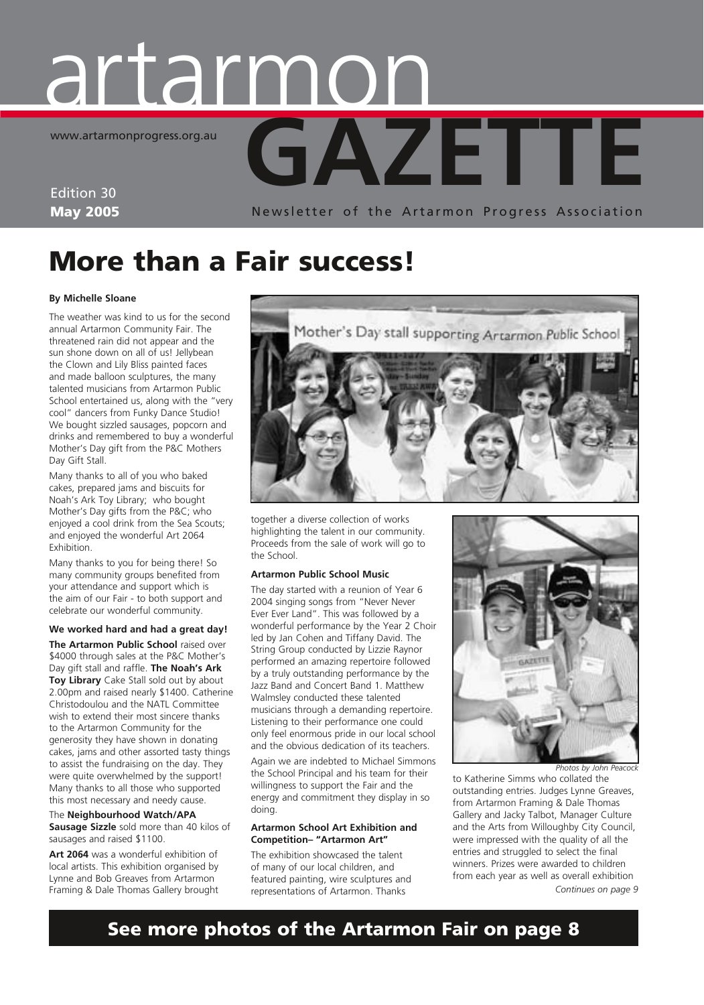# **GAZETTE** artarmon www.artarmonprogress.org.au

Edition 30 May 2005

Newsletter of the Artarmon Progress Association

# More than a Fair success!

#### **By Michelle Sloane**

The weather was kind to us for the second annual Artarmon Community Fair. The threatened rain did not appear and the sun shone down on all of us! Jellybean the Clown and Lily Bliss painted faces and made balloon sculptures, the many talented musicians from Artarmon Public School entertained us, along with the "very cool" dancers from Funky Dance Studio! We bought sizzled sausages, popcorn and drinks and remembered to buy a wonderful Mother's Day gift from the P&C Mothers Day Gift Stall.

Many thanks to all of you who baked cakes, prepared jams and biscuits for Noah's Ark Toy Library; who bought Mother's Day gifts from the P&C; who enjoyed a cool drink from the Sea Scouts; and enjoyed the wonderful Art 2064 **Exhibition** 

Many thanks to you for being there! So many community groups benefited from your attendance and support which is the aim of our Fair - to both support and celebrate our wonderful community.

**We worked hard and had a great day! The Artarmon Public School** raised over \$4000 through sales at the P&C Mother's Day gift stall and raffle. **The Noah's Ark Toy Library** Cake Stall sold out by about 2.00pm and raised nearly \$1400. Catherine Christodoulou and the NATL Committee wish to extend their most sincere thanks to the Artarmon Community for the generosity they have shown in donating cakes, jams and other assorted tasty things to assist the fundraising on the day. They were quite overwhelmed by the support! Many thanks to all those who supported this most necessary and needy cause.

The **Neighbourhood Watch/APA Sausage Sizzle** sold more than 40 kilos of sausages and raised \$1100.

**Art 2064** was a wonderful exhibition of local artists. This exhibition organised by Lynne and Bob Greaves from Artarmon Framing & Dale Thomas Gallery brought



together a diverse collection of works highlighting the talent in our community. Proceeds from the sale of work will go to the School.

#### **Artarmon Public School Music**

The day started with a reunion of Year 6 2004 singing songs from "Never Never Ever Ever Land". This was followed by a wonderful performance by the Year 2 Choir led by Jan Cohen and Tiffany David. The String Group conducted by Lizzie Raynor performed an amazing repertoire followed by a truly outstanding performance by the Jazz Band and Concert Band 1. Matthew Walmsley conducted these talented musicians through a demanding repertoire. Listening to their performance one could only feel enormous pride in our local school and the obvious dedication of its teachers.

Again we are indebted to Michael Simmons the School Principal and his team for their willingness to support the Fair and the energy and commitment they display in so doing.

#### **Artarmon School Art Exhibition and Competition– "Artarmon Art"**

The exhibition showcased the talent of many of our local children, and featured painting, wire sculptures and representations of Artarmon. Thanks



to Katherine Simms who collated the outstanding entries. Judges Lynne Greaves, from Artarmon Framing & Dale Thomas Gallery and Jacky Talbot, Manager Culture and the Arts from Willoughby City Council, were impressed with the quality of all the entries and struggled to select the final winners. Prizes were awarded to children from each year as well as overall exhibition *Continues on page 9*

### See more photos of the Artarmon Fair on page 8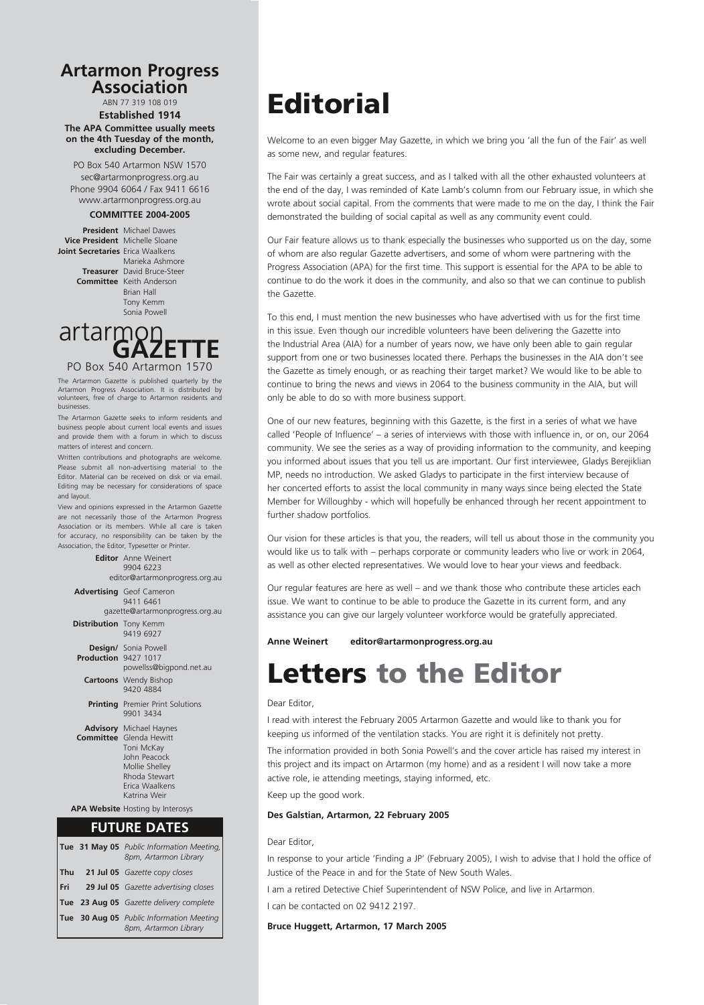# **Artarmon Progress Association Artarmon Progress Association**

ABN 77 319 108 019 ABN 77 319 108 019 **Established 1914 Established 1914 The APA Committee usually meets The APA Committee usually meets on the 4th Tuesday of the month, on the 4th Tuesday of the month, excluding December. excluding December.**

PO Box 540 Artarmon NSW 1570 PO Box 540 Artarmon NSW 1570 sec@artarmonprogress.org.au sec@artarmonprogress.org.au Phone 9904 6064 / Fax 9411 6616 Phone 9904 6064 / Fax 9411 6616 www.artarmonprogress.org.au www.artarmonprogress.org.au

#### **COMMITTEE 2004-2005 COMMITTEE 2004-2005**

**President** Michael Dawes **President** Michael Dawes **Vice President** Michelle Sloane **Joint Secretaries** Erica Waalkens **Treasurer David Bruce-Steer Ashmore Treasurer** David Bruce-Steer

**Committee** Keith Anderson Brian Hall Brian Hall Tony Kemm Tony Kemm Sonia Powell Sonia Powell



Artarmon Progress Association. It is distributed by volunteers, free of charge to Artarmon residents and volusinesses. Free of charge to Artarmon residents and  $\sim$ The Artarmon Gazette is published quarterly by the

The Artarmon Gazette seeks to inform residents and business people about current local events and issues and provide them with a forum in which to discuss matters of interest and concern.

Written contributions and photographs are welcome. Please submit all non-advertising material to the Editor. Material can be received on disk or via email. Editing may be necessary for considerations of space via email. Some minor experience of the and layout.

considerations of space and layout. View and opinions expressed in the Artarmon Gazette View and opinions expressed in the Artarmon Gazette are not necessarily those of the Artarmon Progress are not necessarily those of the Artarmon Progress Association or its members. While all care is taken Association or its members. While all care is taken for accuracy, no responsibility can be taken by the for accuracy, no responsibility can be taken by the Association, the Editor, Typesetter or Printer. Association, the Editor, Typesetter or Printer.

 **Editor** Anne Weinert  **Editor** Anne Weinert 9904 6223 editor@artarmonprogress.org.au editor@artarmonprogress.org.au **Advertising** Geof Cameron **Advertising** Geof Cameron 9411 6461 9411 6461 gazette@artarmonprogress.org.au gazette@artarmonprogress.org.au **Distribution** Tony Kemm 9419 6927 9419 6927  **Design/** Sonia Powell  **Design/** Sonia Powell  **Production** 9427 1017  **Production** 9427 1017 powellss@bigpond.net.au powellss@bigpond.net.au **Cartoons** Wendy Bishop **Cartoons** Wendy Bishop 9420 4884 9420 4884 **Printing** Premier Print Solutions 9901 3434 9901 3434  **Advisory** Michael Haynes  **Advisory** Michael Haynes **Committee** Glenda Hewitt **John Peacock Communication**<br>Toni McKay Mollie Shelley John Peacock Rhoda Stewart Mollie Shelley Erica Waalkens Rhoda Stewart Katrina Weir Erica Waalkens  **APA Website** Hosting Courtesy of Katrina Weir APA Website Hosting by Interosys **FUTURE DATES FUTURE DATES** 9904 6223

|  | Tue 31 May 05 Public Information Meeting,<br>8pm, Artarmon Library |
|--|--------------------------------------------------------------------|
|  | Thu 21 Jul 05 Gazette copy closes                                  |
|  | Fri 29 Jul 05 Gazette advertising closes                           |
|  | Tue 23 Aug 05 Gazette delivery complete                            |
|  | Tue 30 Aug 05 Public Information Meeting<br>8pm, Artarmon Library  |

# **Editorial**

Welcome to an even bigger May Gazette, in which we bring you 'all the fun of the Fair' as well as some new, and regular features.

The Fair was certainly a great success, and as I talked with all the other exhausted volunteers at the end of the day, I was reminded of Kate Lamb's column from our February issue, in which she wrote about social capital. From the comments that were made to me on the day, I think the Fair demonstrated the building of social capital as well as any community event could.

Our Fair feature allows us to thank especially the businesses who supported us on the day, some of whom are also regular Gazette advertisers, and some of whom were partnering with the Progress Association (APA) for the first time. This support is essential for the APA to be able to continue to do the work it does in the community, and also so that we can continue to publish the Gazette.

To this end, I must mention the new businesses who have advertised with us for the first time in this issue. Even though our incredible volunteers have been delivering the Gazette into the Industrial Area (AIA) for a number of years now, we have only been able to gain regular support from one or two businesses located there. Perhaps the businesses in the AIA don't see the Gazette as timely enough, or as reaching their target market? We would like to be able to continue to bring the news and views in 2064 to the business community in the AIA, but will only be able to do so with more business support.

One of our new features, beginning with this Gazette, is the first in a series of what we have called 'People of Influence' – a series of interviews with those with influence in, or on, our 2064 community. We see the series as a way of providing information to the community, and keeping you informed about issues that you tell us are important. Our first interviewee, Gladys Berejiklian MP, needs no introduction. We asked Gladys to participate in the first interview because of her concerted efforts to assist the local community in many ways since being elected the State Member for Willoughby - which will hopefully be enhanced through her recent appointment to further shadow portfolios.

Our vision for these articles is that you, the readers, will tell us about those in the community you would like us to talk with – perhaps corporate or community leaders who live or work in 2064, as well as other elected representatives. We would love to hear your views and feedback.

Our regular features are here as well – and we thank those who contribute these articles each issue. We want to continue to be able to produce the Gazette in its current form, and any assistance you can give our largely volunteer workforce would be gratefully appreciated.

#### **Anne Weinert editor@artarmonprogress.org.au**

## Letters to the Editor

#### Dear Editor,

I read with interest the February 2005 Artarmon Gazette and would like to thank you for keeping us informed of the ventilation stacks. You are right it is definitely not pretty.

The information provided in both Sonia Powell's and the cover article has raised my interest in this project and its impact on Artarmon (my home) and as a resident I will now take a more active role, ie attending meetings, staying informed, etc.

Keep up the good work.

#### **Des Galstian, Artarmon, 22 February 2005**

Dear Editor,

In response to your article 'Finding a JP' (February 2005), I wish to advise that I hold the office of Justice of the Peace in and for the State of New South Wales.

I am a retired Detective Chief Superintendent of NSW Police, and live in Artarmon.

I can be contacted on 02 9412 2197.

#### **Bruce Huggett, Artarmon, 17 March 2005**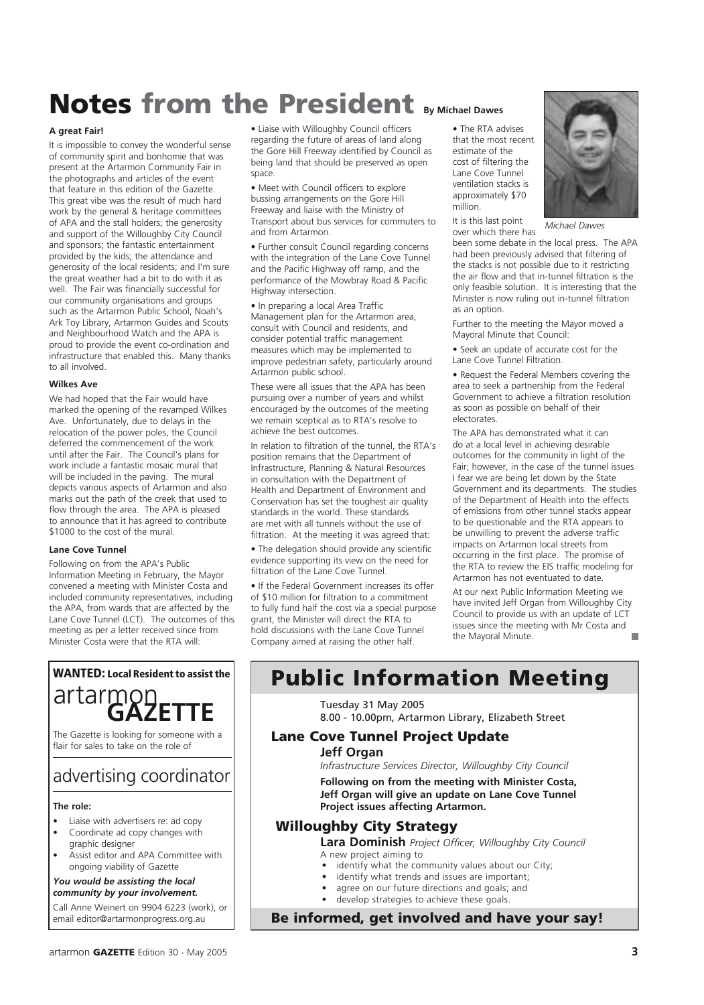# **Notes from the President By Michael Dawes**

#### **A great Fair!**

It is impossible to convey the wonderful sense of community spirit and bonhomie that was present at the Artarmon Community Fair in the photographs and articles of the event that feature in this edition of the Gazette. This great vibe was the result of much hard work by the general & heritage committees of APA and the stall holders; the generosity and support of the Willoughby City Council and sponsors; the fantastic entertainment provided by the kids; the attendance and generosity of the local residents; and I'm sure the great weather had a bit to do with it as well. The Fair was financially successful for our community organisations and groups such as the Artarmon Public School, Noah's Ark Toy Library, Artarmon Guides and Scouts and Neighbourhood Watch and the APA is proud to provide the event co-ordination and infrastructure that enabled this. Many thanks to all involved.

#### **Wilkes Ave**

We had hoped that the Fair would have marked the opening of the revamped Wilkes Ave. Unfortunately, due to delays in the relocation of the power poles, the Council deferred the commencement of the work until after the Fair. The Council's plans for work include a fantastic mosaic mural that will be included in the paving. The mural depicts various aspects of Artarmon and also marks out the path of the creek that used to flow through the area. The APA is pleased to announce that it has agreed to contribute \$1000 to the cost of the mural.

#### **Lane Cove Tunnel**

Following on from the APA's Public Information Meeting in February, the Mayor convened a meeting with Minister Costa and included community representatives, including the APA, from wards that are affected by the Lane Cove Tunnel (LCT). The outcomes of this meeting as per a letter received since from Minister Costa were that the RTA will:

## WANTED: Local Resident to assist the artarmon<br>**GAZFTTF**

The Gazette is looking for someone with a flair for sales to take on the role of

### advertising coordinator

#### **The role:**

- Liaise with advertisers re: ad copy • Coordinate ad copy changes with
- graphic designer • Assist editor and APA Committee with
- ongoing viability of Gazette

*You would be assisting the local community by your involvement.*

Call Anne Weinert on 9904 6223 (work), or email editor@artarmonprogress.org.au

• Liaise with Willoughby Council officers regarding the future of areas of land along the Gore Hill Freeway identified by Council as being land that should be preserved as open space.

• Meet with Council officers to explore bussing arrangements on the Gore Hill Freeway and liaise with the Ministry of Transport about bus services for commuters to and from Artarmon.

• Further consult Council regarding concerns with the integration of the Lane Cove Tunnel and the Pacific Highway off ramp, and the performance of the Mowbray Road & Pacific .<br>Highway intersection.

• In preparing a local Area Traffic Management plan for the Artarmon area, consult with Council and residents, and consider potential traffic management measures which may be implemented to improve pedestrian safety, particularly around Artarmon public school.

These were all issues that the APA has been pursuing over a number of years and whilst encouraged by the outcomes of the meeting we remain sceptical as to RTA's resolve to achieve the best outcomes.

In relation to filtration of the tunnel, the RTA's position remains that the Department of Infrastructure, Planning & Natural Resources in consultation with the Department of Health and Department of Environment and Conservation has set the toughest air quality standards in the world. These standards are met with all tunnels without the use of filtration. At the meeting it was agreed that:

• The delegation should provide any scientific evidence supporting its view on the need for filtration of the Lane Cove Tunnel.

• If the Federal Government increases its offer of \$10 million for filtration to a commitment to fully fund half the cost via a special purpose grant, the Minister will direct the RTA to hold discussions with the Lane Cove Tunnel Company aimed at raising the other half.

• The RTA advises that the most recent estimate of the cost of filtering the Lane Cove Tunnel ventilation stacks is approximately \$70 million.

It is this last point over which there has



*Michael Dawes*

been some debate in the local press. The APA had been previously advised that filtering of the stacks is not possible due to it restricting the air flow and that in-tunnel filtration is the only feasible solution. It is interesting that the Minister is now ruling out in-tunnel filtration as an option.

Further to the meeting the Mayor moved a Mayoral Minute that Council:

• Seek an update of accurate cost for the Lane Cove Tunnel Filtration.

• Request the Federal Members covering the area to seek a partnership from the Federal Government to achieve a filtration resolution as soon as possible on behalf of their electorates.

The APA has demonstrated what it can do at a local level in achieving desirable outcomes for the community in light of the Fair; however, in the case of the tunnel issues I fear we are being let down by the State Government and its departments. The studies of the Department of Health into the effects of emissions from other tunnel stacks appear to be questionable and the RTA appears to be unwilling to prevent the adverse traffic impacts on Artarmon local streets from occurring in the first place. The promise of the RTA to review the EIS traffic modeling for Artarmon has not eventuated to date.

At our next Public Information Meeting we have invited Jeff Organ from Willoughby City Council to provide us with an update of LCT issues since the meeting with Mr Costa and the Mayoral Minute. m.

### Public Information Meeting

### Tuesday 31 May 2005

8.00 - 10.00pm, Artarmon Library, Elizabeth Street

#### Lane Cove Tunnel Project Update

#### **Jeff Organ**

*Infrastructure Services Director, Willoughby City Council*  **Following on from the meeting with Minister Costa, Jeff Organ will give an update on Lane Cove Tunnel Project issues affecting Artarmon.**

### Willoughby City Strategy

**Lara Dominish** *Project Officer, Willoughby City Council*

- A new project aiming to
	- identify what the community values about our City;
- identify what trends and issues are important;
	- agree on our future directions and goals; and
	- develop strategies to achieve these goals.

Be informed, get involved and have your say!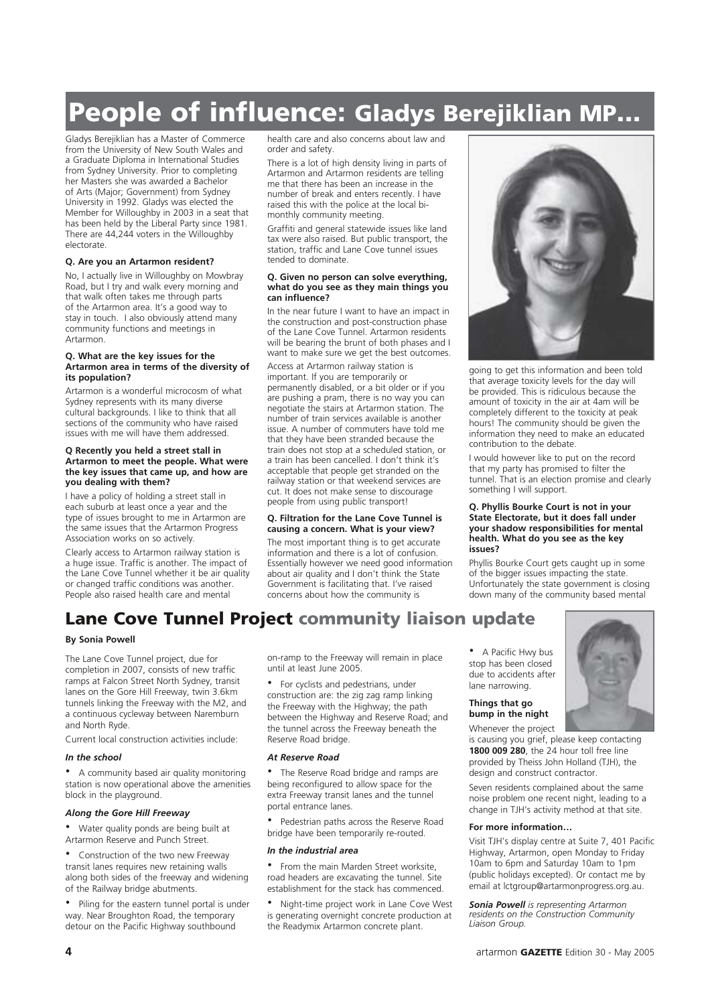# People of influence: Gladys Berejiklian MP...

Gladys Berejiklian has a Master of Commerce from the University of New South Wales and a Graduate Diploma in International Studies from Sydney University. Prior to completing her Masters she was awarded a Bachelor of Arts (Major; Government) from Sydney University in 1992. Gladys was elected the Member for Willoughby in 2003 in a seat that has been held by the Liberal Party since 1981. There are 44,244 voters in the Willoughby electorate.

#### **Q. Are you an Artarmon resident?**

No, I actually live in Willoughby on Mowbray Road, but I try and walk every morning and that walk often takes me through parts of the Artarmon area. It's a good way to stay in touch. I also obviously attend many community functions and meetings in Artarmon.

#### **Q. What are the key issues for the Artarmon area in terms of the diversity of its population?**

Artarmon is a wonderful microcosm of what Sydney represents with its many diverse cultural backgrounds. I like to think that all sections of the community who have raised issues with me will have them addressed.

#### **Q Recently you held a street stall in Artarmon to meet the people. What were the key issues that came up, and how are you dealing with them?**

I have a policy of holding a street stall in each suburb at least once a year and the type of issues brought to me in Artarmon are the same issues that the Artarmon Progress Association works on so actively.

Clearly access to Artarmon railway station is a huge issue. Traffic is another. The impact of the Lane Cove Tunnel whether it be air quality or changed traffic conditions was another. People also raised health care and mental

health care and also concerns about law and order and safety.

There is a lot of high density living in parts of Artarmon and Artarmon residents are telling me that there has been an increase in the number of break and enters recently. I have raised this with the police at the local bimonthly community meeting.

Graffiti and general statewide issues like land tax were also raised. But public transport, the station, traffic and Lane Cove tunnel issues tended to dominate.

#### **Q. Given no person can solve everything, what do you see as they main things you can influence?**

In the near future I want to have an impact in the construction and post-construction phase of the Lane Cove Tunnel. Artarmon residents will be bearing the brunt of both phases and I want to make sure we get the best outcomes.

Access at Artarmon railway station is important. If you are temporarily or permanently disabled, or a bit older or if you are pushing a pram, there is no way you can negotiate the stairs at Artarmon station. The number of train services available is another issue. A number of commuters have told me that they have been stranded because the train does not stop at a scheduled station, or a train has been cancelled. I don't think it's acceptable that people get stranded on the railway station or that weekend services are cut. It does not make sense to discourage people from using public transport!

#### **Q. Filtration for the Lane Cove Tunnel is causing a concern. What is your view?**

The most important thing is to get accurate information and there is a lot of confusion. Essentially however we need good information about air quality and I don't think the State Government is facilitating that. I've raised concerns about how the community is



going to get this information and been told that average toxicity levels for the day will be provided. This is ridiculous because the amount of toxicity in the air at 4am will be completely different to the toxicity at peak hours! The community should be given the information they need to make an educated contribution to the debate.

I would however like to put on the record that my party has promised to filter the tunnel. That is an election promise and clearly something I will support.

#### **Q. Phyllis Bourke Court is not in your State Electorate, but it does fall under your shadow responsibilities for mental health. What do you see as the key issues?**

Phyllis Bourke Court gets caught up in some of the bigger issues impacting the state. Unfortunately the state government is closing down many of the community based mental

### Lane Cove Tunnel Project community liaison update

#### **By Sonia Powell**

The Lane Cove Tunnel project, due for completion in 2007, consists of new traffic ramps at Falcon Street North Sydney, transit lanes on the Gore Hill Freeway, twin 3.6km tunnels linking the Freeway with the M2, and a continuous cycleway between Naremburn and North Ryde.

Current local construction activities include:

#### *In the school*

• A community based air quality monitoring station is now operational above the amenities block in the playground.

#### *Along the Gore Hill Freeway*

• Water quality ponds are being built at Artarmon Reserve and Punch Street.

• Construction of the two new Freeway transit lanes requires new retaining walls along both sides of the freeway and widening of the Railway bridge abutments.

• Piling for the eastern tunnel portal is under way. Near Broughton Road, the temporary detour on the Pacific Highway southbound

on-ramp to the Freeway will remain in place until at least June 2005.

• For cyclists and pedestrians, under construction are: the zig zag ramp linking the Freeway with the Highway; the path between the Highway and Reserve Road; and the tunnel across the Freeway beneath the Reserve Road bridge.

#### *At Reserve Road*

• The Reserve Road bridge and ramps are being reconfigured to allow space for the extra Freeway transit lanes and the tunnel portal entrance lanes.

• Pedestrian paths across the Reserve Road bridge have been temporarily re-routed.

#### *In the industrial area*

• From the main Marden Street worksite, road headers are excavating the tunnel. Site establishment for the stack has commenced.

• Night-time project work in Lane Cove West is generating overnight concrete production at the Readymix Artarmon concrete plant.

• A Pacific Hwy bus stop has been closed due to accidents after lane narrowing.

#### **Things that go bump in the night**

Whenever the project is causing you grief, please keep contacting **1800 009 280**, the 24 hour toll free line provided by Theiss John Holland (TJH), the design and construct contractor.

Seven residents complained about the same noise problem one recent night, leading to a change in TJH's activity method at that site.

#### **For more information…**

Visit TJH's display centre at Suite 7, 401 Pacific Highway, Artarmon, open Monday to Friday 10am to 6pm and Saturday 10am to 1pm (public holidays excepted). Or contact me by email at lctgroup@artarmonprogress.org.au.

*Sonia Powell is representing Artarmon residents on the Construction Community Liaison Group.*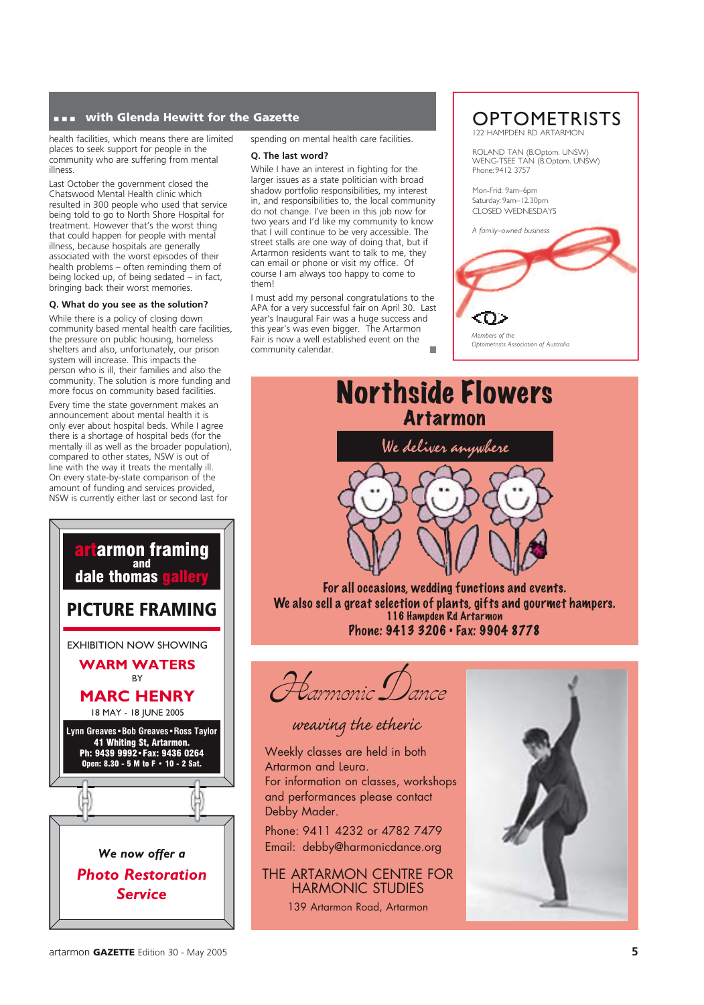#### **...** with Glenda Hewitt for the Gazette

health facilities, which means there are limited places to seek support for people in the community who are suffering from mental illness.

Last October the government closed the Chatswood Mental Health clinic which resulted in 300 people who used that service being told to go to North Shore Hospital for treatment. However that's the worst thing that could happen for people with mental illness, because hospitals are generally associated with the worst episodes of their health problems – often reminding them of being locked up, of being sedated – in fact, bringing back their worst memories.

#### **Q. What do you see as the solution?**

While there is a policy of closing down community based mental health care facilities, the pressure on public housing, homeless shelters and also, unfortunately, our prison system will increase. This impacts the person who is ill, their families and also the community. The solution is more funding and more focus on community based facilities. Every time the state government makes an announcement about mental health it is only ever about hospital beds. While I agree there is a shortage of hospital beds (for the mentally ill as well as the broader population), compared to other states, NSW is out of line with the way it treats the mentally ill. On every state-by-state comparison of the amount of funding and services provided, NSW is currently either last or second last for



spending on mental health care facilities.

#### **Q. The last word?**

While I have an interest in fighting for the larger issues as a state politician with broad shadow portfolio responsibilities, my interest in, and responsibilities to, the local community do not change. I've been in this job now for two years and I'd like my community to know that I will continue to be very accessible. The street stalls are one way of doing that, but if Artarmon residents want to talk to me, they can email or phone or visit my office. Of course I am always too happy to come to them!

I must add my personal congratulations to the APA for a very successful fair on April 30. Last year's Inaugural Fair was a huge success and this year's was even bigger. The Artarmon Fair is now a well established event on the community calendar.

#### **OPTOMETRISTS** 122 HAMPDEN RD ARTARM

ROLAND TAN (B.Optom. UNSW) WENG-TSEE TAN (B.Optom. UNSW) Phone: 9412 3757

Mon-Frid: 9am–6pm Saturday: 9am–12.30pm CLOSED WEDNESDAYS



### Northside Flowers Artarmon



For all occasions, wedding functions and events. We also sell a great selection of plants, gifts and gourmet hampers. 116 Hampden Rd Artarmon Phone: 9413 3206 • Fax: 9904 8778



weaving the etheric

Weekly classes are held in both Artarmon and Leura. For information on classes, workshops and performances please contact Debby Mader.

Phone: 9411 4232 or 4782 7479 Email: debby@harmonicdance.org

THE ARTARMON CENTRE FOR HARMONIC STUDIES 139 Artarmon Road, Artarmon

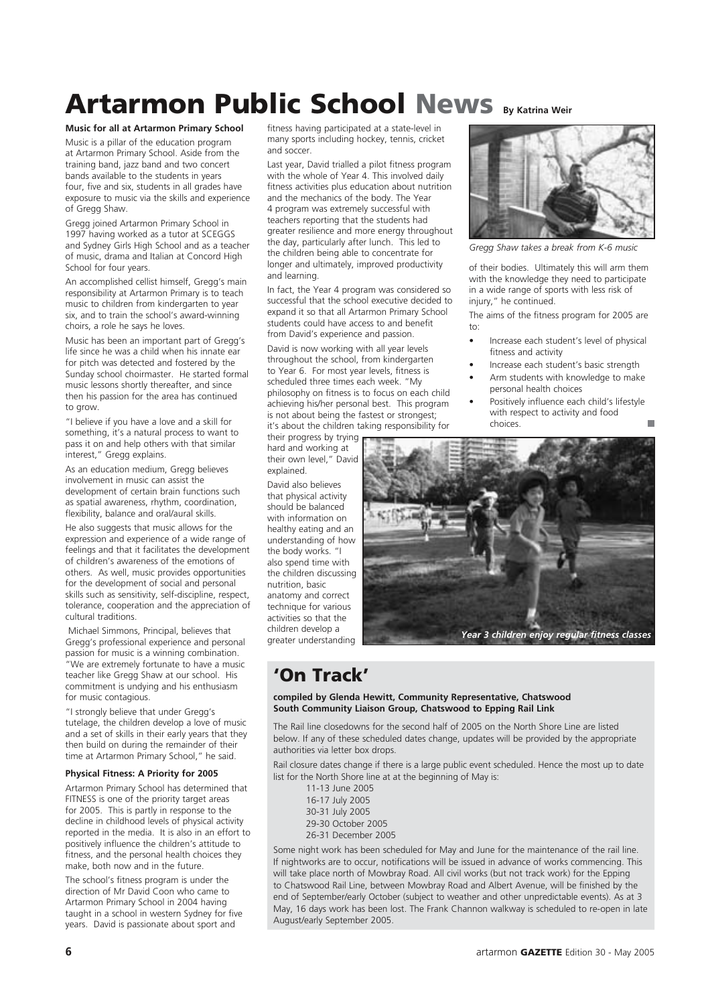# **Artarmon Public School News By Katrina Weir**

#### **Music for all at Artarmon Primary School**

Music is a pillar of the education program at Artarmon Primary School. Aside from the training band, jazz band and two concert bands available to the students in years four, five and six, students in all grades have exposure to music via the skills and experience of Gregg Shaw.

Gregg joined Artarmon Primary School in 1997 having worked as a tutor at SCEGGS and Sydney Girls High School and as a teacher of music, drama and Italian at Concord High School for four years.

An accomplished cellist himself, Gregg's main responsibility at Artarmon Primary is to teach music to children from kindergarten to year six, and to train the school's award-winning choirs, a role he says he loves.

Music has been an important part of Gregg's life since he was a child when his innate ear for pitch was detected and fostered by the Sunday school choirmaster. He started formal music lessons shortly thereafter, and since then his passion for the area has continued to grow.

"I believe if you have a love and a skill for something, it's a natural process to want to pass it on and help others with that similar interest," Gregg explains.

As an education medium, Gregg believes involvement in music can assist the development of certain brain functions such as spatial awareness, rhythm, coordination, flexibility, balance and oral/aural skills.

He also suggests that music allows for the expression and experience of a wide range of feelings and that it facilitates the development of children's awareness of the emotions of others. As well, music provides opportunities for the development of social and personal skills such as sensitivity, self-discipline, respect, tolerance, cooperation and the appreciation of cultural traditions.

 Michael Simmons, Principal, believes that Gregg's professional experience and personal passion for music is a winning combination. "We are extremely fortunate to have a music teacher like Gregg Shaw at our school. His commitment is undying and his enthusiasm for music contagious.

"I strongly believe that under Gregg's tutelage, the children develop a love of music and a set of skills in their early years that they then build on during the remainder of their time at Artarmon Primary School," he said.

#### **Physical Fitness: A Priority for 2005**

Artarmon Primary School has determined that FITNESS is one of the priority target areas for 2005. This is partly in response to the decline in childhood levels of physical activity reported in the media. It is also in an effort to positively influence the children's attitude to fitness, and the personal health choices they make, both now and in the future.

The school's fitness program is under the direction of Mr David Coon who came to Artarmon Primary School in 2004 having taught in a school in western Sydney for five years. David is passionate about sport and

fitness having participated at a state-level in many sports including hockey, tennis, cricket and soccer.

Last year, David trialled a pilot fitness program with the whole of Year 4. This involved daily fitness activities plus education about nutrition and the mechanics of the body. The Year 4 program was extremely successful with teachers reporting that the students had greater resilience and more energy throughout the day, particularly after lunch. This led to the children being able to concentrate for longer and ultimately, improved productivity and learning.

In fact, the Year 4 program was considered so successful that the school executive decided to expand it so that all Artarmon Primary School students could have access to and benefit from David's experience and passion.

David is now working with all year levels throughout the school, from kindergarten to Year 6. For most year levels, fitness is scheduled three times each week. "My philosophy on fitness is to focus on each child achieving his/her personal best. This program is not about being the fastest or strongest; it's about the children taking responsibility for

their progress by trying hard and working at their own level," David explained.

David also believes that physical activity should be balanced with information on healthy eating and an understanding of how the body works. "I also spend time with the children discussing nutrition, basic anatomy and correct technique for various activities so that the children develop a greater understanding



*Gregg Shaw takes a break from K-6 music* 

of their bodies. Ultimately this will arm them with the knowledge they need to participate in a wide range of sports with less risk of injury," he continued.

The aims of the fitness program for 2005 are  $t^{\circ}$ 

- Increase each student's level of physical fitness and activity
- Increase each student's basic strength
- Arm students with knowledge to make personal health choices
- Positively influence each child's lifestyle with respect to activity and food choices.



### 'On Track'

#### **compiled by Glenda Hewitt, Community Representative, Chatswood South Community Liaison Group, Chatswood to Epping Rail Link**

The Rail line closedowns for the second half of 2005 on the North Shore Line are listed below. If any of these scheduled dates change, updates will be provided by the appropriate authorities via letter box drops.

Rail closure dates change if there is a large public event scheduled. Hence the most up to date list for the North Shore line at at the beginning of May is:

- 11-13 June 2005
- 16-17 July 2005
- 30-31 July 2005
- 29-30 October 2005
- 26-31 December 2005

Some night work has been scheduled for May and June for the maintenance of the rail line. If nightworks are to occur, notifications will be issued in advance of works commencing. This will take place north of Mowbray Road. All civil works (but not track work) for the Epping to Chatswood Rail Line, between Mowbray Road and Albert Avenue, will be finished by the end of September/early October (subject to weather and other unpredictable events). As at 3 May, 16 days work has been lost. The Frank Channon walkway is scheduled to re-open in late August/early September 2005.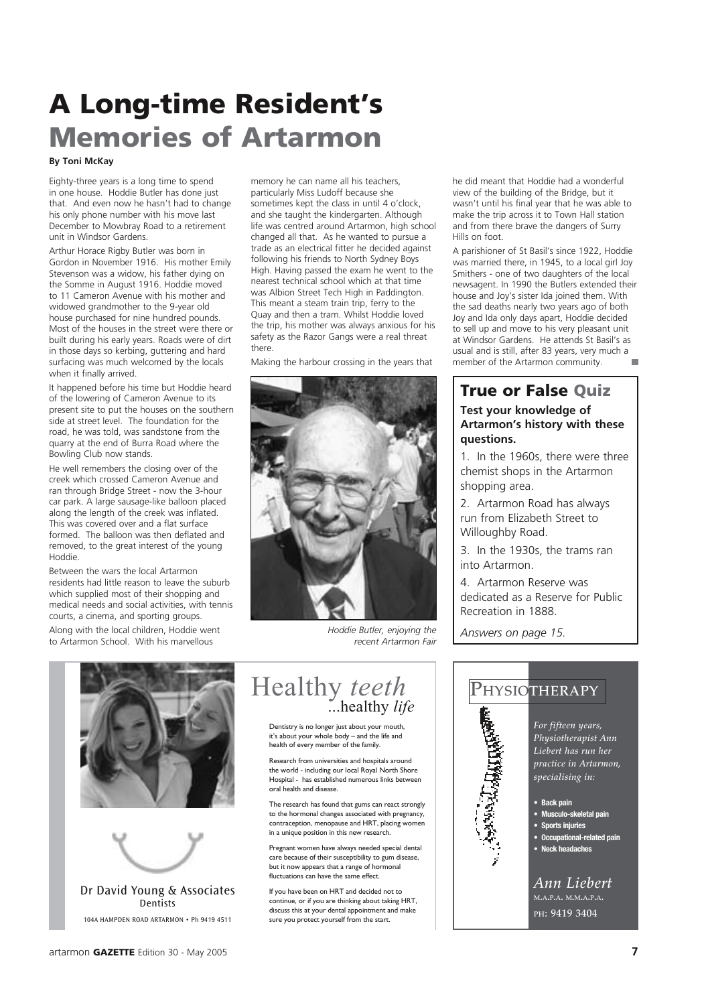# A Long-time Resident's Memories of Artarmon

#### **By Toni McKay**

Eighty-three years is a long time to spend in one house. Hoddie Butler has done just that. And even now he hasn't had to change his only phone number with his move last December to Mowbray Road to a retirement unit in Windsor Gardens.

Arthur Horace Rigby Butler was born in Gordon in November 1916. His mother Emily Stevenson was a widow, his father dying on the Somme in August 1916. Hoddie moved to 11 Cameron Avenue with his mother and widowed grandmother to the 9-year old house purchased for nine hundred pounds. Most of the houses in the street were there or built during his early years. Roads were of dirt in those days so kerbing, guttering and hard surfacing was much welcomed by the locals when it finally arrived.

It happened before his time but Hoddie heard of the lowering of Cameron Avenue to its present site to put the houses on the southern side at street level. The foundation for the road, he was told, was sandstone from the quarry at the end of Burra Road where the Bowling Club now stands.

He well remembers the closing over of the creek which crossed Cameron Avenue and ran through Bridge Street - now the 3-hour car park. A large sausage-like balloon placed along the length of the creek was inflated. This was covered over and a flat surface formed. The balloon was then deflated and removed, to the great interest of the young Hoddie.

Between the wars the local Artarmon residents had little reason to leave the suburb which supplied most of their shopping and medical needs and social activities, with tennis courts, a cinema, and sporting groups.

Along with the local children, Hoddie went to Artarmon School. With his marvellous

memory he can name all his teachers, particularly Miss Ludoff because she sometimes kept the class in until 4 o'clock, and she taught the kindergarten. Although life was centred around Artarmon, high school changed all that. As he wanted to pursue a trade as an electrical fitter he decided against following his friends to North Sydney Boys High. Having passed the exam he went to the nearest technical school which at that time was Albion Street Tech High in Paddington. This meant a steam train trip, ferry to the Quay and then a tram. Whilst Hoddie loved the trip, his mother was always anxious for his safety as the Razor Gangs were a real threat there.

Making the harbour crossing in the years that



*Hoddie Butler, enjoying the recent Artarmon Fair*

he did meant that Hoddie had a wonderful view of the building of the Bridge, but it wasn't until his final year that he was able to make the trip across it to Town Hall station and from there brave the dangers of Surry Hills on foot.

A parishioner of St Basil's since 1922, Hoddie was married there, in 1945, to a local girl Joy Smithers - one of two daughters of the local newsagent. In 1990 the Butlers extended their house and Joy's sister Ida joined them. With the sad deaths nearly two years ago of both Joy and Ida only days apart, Hoddie decided to sell up and move to his very pleasant unit at Windsor Gardens. He attends St Basil's as usual and is still, after 83 years, very much a member of the Artarmon community.

### True or False Quiz

#### **Test your knowledge of Artarmon's history with these questions.**

1. In the 1960s, there were three chemist shops in the Artarmon shopping area.

2. Artarmon Road has always run from Elizabeth Street to Willoughby Road.

3. In the 1930s, the trams ran into Artarmon.

4. Artarmon Reserve was dedicated as a Reserve for Public Recreation in 1888.

*Answers on page 15.*





104A HAMPDEN ROAD ARTARMON • Ph 9419 4511

### Healthy *teeth* ...healthy *life* Dentistry is no longer just about your mouth,

it's about your whole body – and the life and health of every member of the family.

Research from universities and hospitals around the world - including our local Royal North Shore Hospital - has established numerous links between oral health and disease.

The research has found that gums can react strongly to the hormonal changes associated with pregnancy, contraception, menopause and HRT, placing women in a unique position in this new research.

Pregnant women have always needed special dental care because of their susceptibility to gum disease, but it now appears that a range of hormonal fluctuations can have the same effect.

If you have been on HRT and decided not to continue, or if you are thinking about taking HRT, discuss this at your dental appointment and make sure you protect yourself from the start.



**• Sports injuries**

- **Occupational-related pain**
- **Neck headaches**

*Ann Liebert* M.A.P.A. M.M.A.P.A. PH: 9419 3404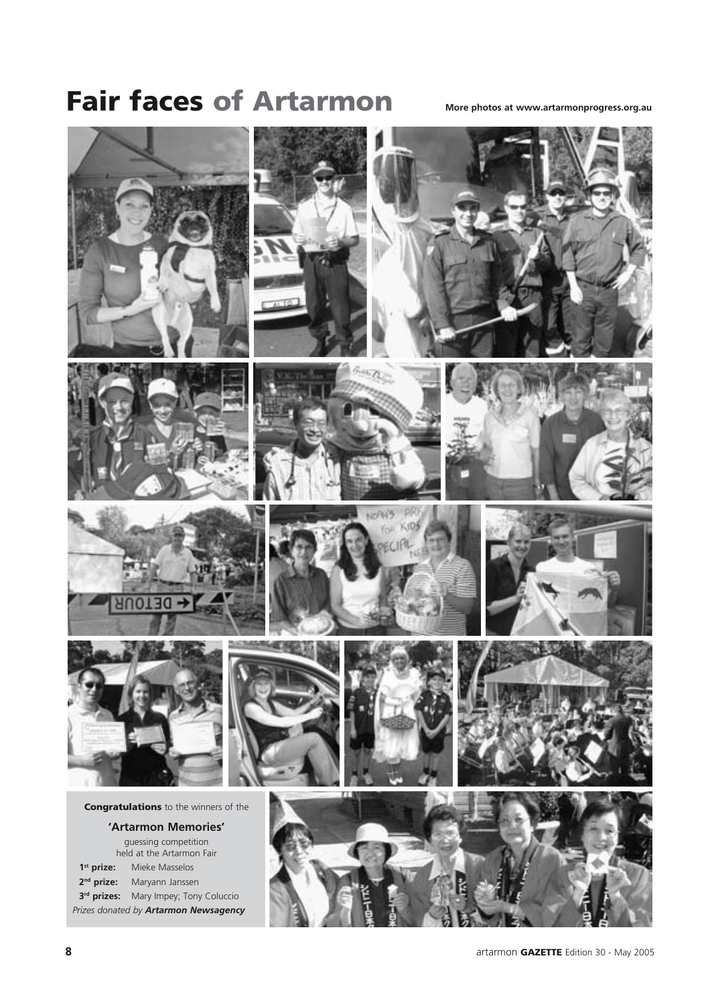# **Fair faces of Artarmon** More photos at www.artarmonprogress.org.au

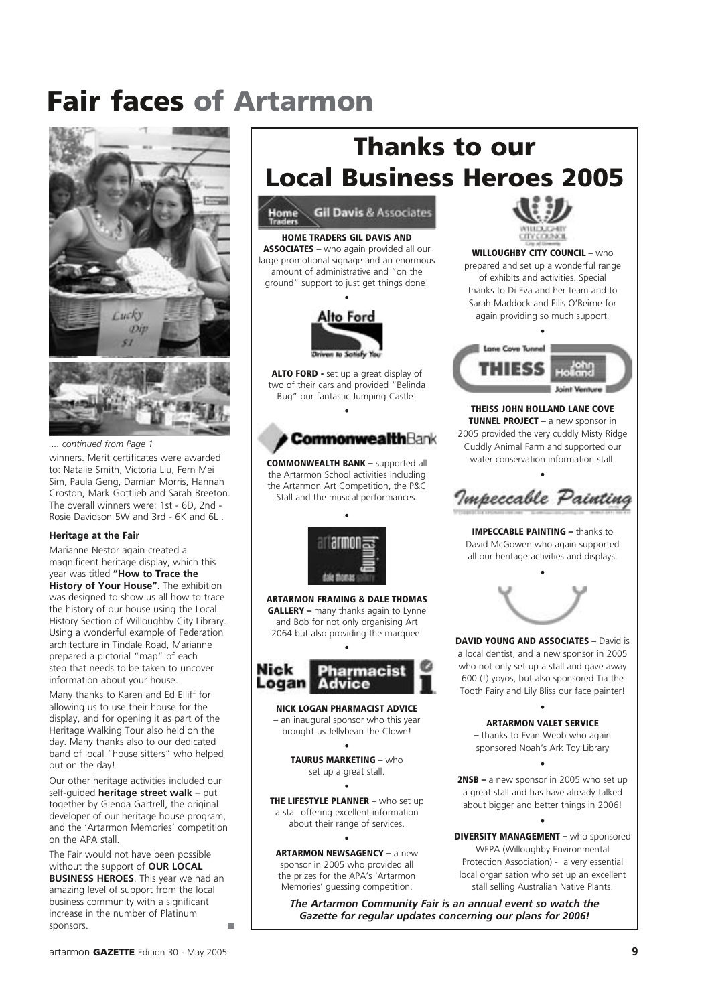# Fair faces of Artarmon



*.... continued from Page 1*

winners. Merit certificates were awarded to: Natalie Smith, Victoria Liu, Fern Mei Sim, Paula Geng, Damian Morris, Hannah Croston, Mark Gottlieb and Sarah Breeton. The overall winners were: 1st - 6D, 2nd - Rosie Davidson 5W and 3rd - 6K and 6L .

#### **Heritage at the Fair**

Marianne Nestor again created a magnificent heritage display, which this year was titled **"How to Trace the History of Your House"**. The exhibition was designed to show us all how to trace the history of our house using the Local History Section of Willoughby City Library. Using a wonderful example of Federation architecture in Tindale Road, Marianne prepared a pictorial "map" of each step that needs to be taken to uncover information about your house.

Many thanks to Karen and Ed Elliff for allowing us to use their house for the display, and for opening it as part of the Heritage Walking Tour also held on the day. Many thanks also to our dedicated band of local "house sitters" who helped out on the day!

Our other heritage activities included our self-guided **heritage street walk** – put together by Glenda Gartrell, the original developer of our heritage house program, and the 'Artarmon Memories' competition on the APA stall.

The Fair would not have been possible without the support of **OUR LOCAL BUSINESS HEROES**. This year we had an amazing level of support from the local business community with a significant increase in the number of Platinum sponsors.

# Thanks to our Local Business Heroes 2005



HOME TRADERS GIL DAVIS AND ASSOCIATES – who again provided all our large promotional signage and an enormous amount of administrative and "on the ground" support to just get things done!



ALTO FORD - set up a great display of two of their cars and provided "Belinda Bug" our fantastic Jumping Castle!

•



COMMONWEALTH BANK – supported all the Artarmon School activities including the Artarmon Art Competition, the P&C Stall and the musical performances.

•



ARTARMON FRAMING & DALE THOMAS **GALLERY** – many thanks again to Lynne and Bob for not only organising Art 2064 but also providing the marquee.

•



NICK LOGAN PHARMACIST ADVICE – an inaugural sponsor who this year brought us Jellybean the Clown!

> • TAURUS MARKETING – who set up a great stall. •

THE LIFESTYLE PLANNER - who set up a stall offering excellent information about their range of services.

•

ARTARMON NEWSAGENCY – a new sponsor in 2005 who provided all the prizes for the APA's 'Artarmon Memories' guessing competition.



WILLOUGHBY CITY COUNCIL - who prepared and set up a wonderful range of exhibits and activities. Special thanks to Di Eva and her team and to Sarah Maddock and Eilis O'Beirne for again providing so much support.



THEISS JOHN HOLLAND LANE COVE TUNNEL PROJECT – a new sponsor in 2005 provided the very cuddly Misty Ridge Cuddly Animal Farm and supported our water conservation information stall.

• Impeccable Painting

IMPECCABLE PAINTING – thanks to David McGowen who again supported all our heritage activities and displays.



DAVID YOUNG AND ASSOCIATES – David is a local dentist, and a new sponsor in 2005 who not only set up a stall and gave away 600 (!) yoyos, but also sponsored Tia the Tooth Fairy and Lily Bliss our face painter!

> ARTARMON VALET SERVICE – thanks to Evan Webb who again sponsored Noah's Ark Toy Library

•

2NSB – a new sponsor in 2005 who set up a great stall and has have already talked about bigger and better things in 2006!

•

•

DIVERSITY MANAGEMENT – who sponsored WEPA (Willoughby Environmental Protection Association) - a very essential local organisation who set up an excellent stall selling Australian Native Plants.

*The Artarmon Community Fair is an annual event so watch the Gazette for regular updates concerning our plans for 2006!*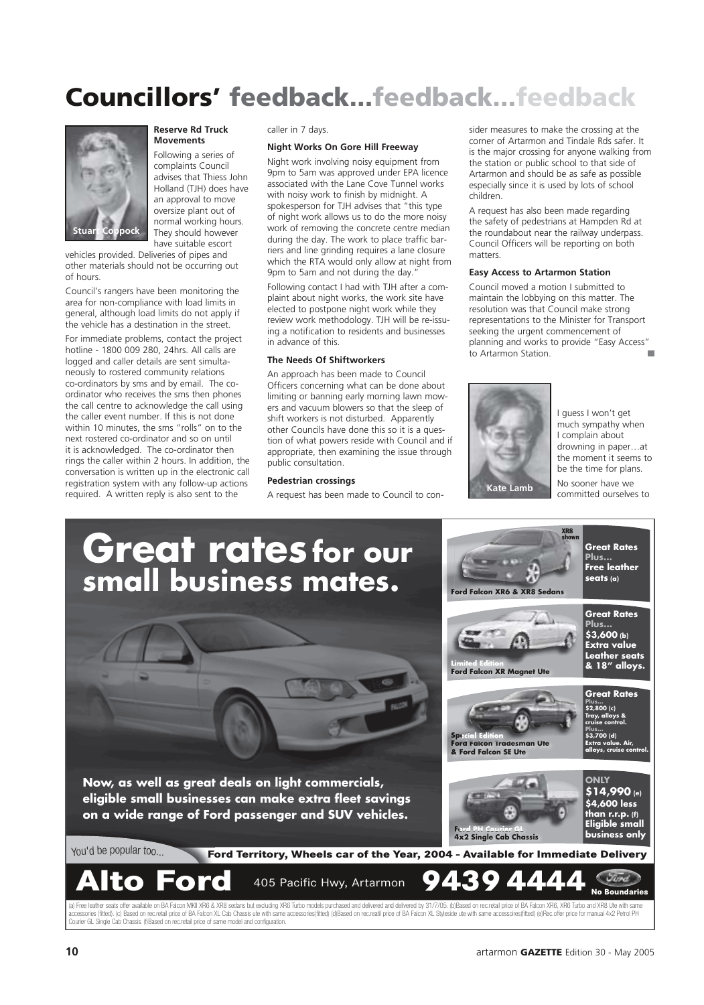# Councillors' feedback...feedback...feedback



**Reserve Rd Truck Movements**

Following a series of complaints Council advises that Thiess John Holland (TJH) does have an approval to move oversize plant out of normal working hours. They should however have suitable escort

vehicles provided. Deliveries of pipes and other materials should not be occurring out of hours.

Council's rangers have been monitoring the area for non-compliance with load limits in general, although load limits do not apply if the vehicle has a destination in the street. For immediate problems, contact the project hotline - 1800 009 280, 24hrs. All calls are logged and caller details are sent simultaneously to rostered community relations co-ordinators by sms and by email. The coordinator who receives the sms then phones the call centre to acknowledge the call using the caller event number. If this is not done within 10 minutes, the sms "rolls" on to the next rostered co-ordinator and so on until it is acknowledged. The co-ordinator then rings the caller within 2 hours. In addition, the conversation is written up in the electronic call registration system with any follow-up actions required. A written reply is also sent to the

caller in 7 days.

#### **Night Works On Gore Hill Freeway**

Night work involving noisy equipment from 9pm to 5am was approved under EPA licence associated with the Lane Cove Tunnel works with noisy work to finish by midnight. A spokesperson for TJH advises that "this type of night work allows us to do the more noisy work of removing the concrete centre median during the day. The work to place traffic barriers and line grinding requires a lane closure which the RTA would only allow at night from 9pm to 5am and not during the day."

Following contact I had with TJH after a complaint about night works, the work site have elected to postpone night work while they review work methodology. TJH will be re-issuing a notification to residents and businesses in advance of this.

#### **The Needs Of Shiftworkers**

An approach has been made to Council Officers concerning what can be done about limiting or banning early morning lawn mowers and vacuum blowers so that the sleep of shift workers is not disturbed. Apparently other Councils have done this so it is a question of what powers reside with Council and if appropriate, then examining the issue through public consultation.

#### **Pedestrian crossings**

A request has been made to Council to con-

sider measures to make the crossing at the corner of Artarmon and Tindale Rds safer. It is the major crossing for anyone walking from the station or public school to that side of Artarmon and should be as safe as possible especially since it is used by lots of school children.

A request has also been made regarding the safety of pedestrians at Hampden Rd at the roundabout near the railway underpass. Council Officers will be reporting on both matters.

#### **Easy Access to Artarmon Station**

Council moved a motion I submitted to maintain the lobbying on this matter. The resolution was that Council make strong representations to the Minister for Transport seeking the urgent commencement of planning and works to provide "Easy Access" to Artarmon Station.



I guess I won't get much sympathy when I complain about drowning in paper…at the moment it seems to be the time for plans. No sooner have we

> **Great Rates Plus...**

XR8 shown

# **Great ratesfor our small business mates.**

**Now, as well as great deals on light commercials, eligible small businesses can make extra fleet savings on a wide range of Ford passenger and SUV vehicles.**

Courier GL Single Cab Chassis. (f)Based on rec.retail price of same model and configuration.



**\$14,990 (e) \$4,600 less than r.r.p. (f) Eligible small business only**

#### **Ford Territory, Wheels car of the Year, 2004 - Available for Immediate Delivery** You'd b<sup>e</sup> popula<sup>r</sup> too...

(a) Free leather seats offer available on BA Falcon MKII XR6 & XR8 sedans but excluding XR6 Turbo models purchased and delivered and delivered by 31/7/05. (b)Based on recretail price of BA Falcon XR6. XR6 Turbo and XR8 Ute ories (fitted). (c) Based on recretail price of BA Falcon XL Cab Chassis ute with same accessories(fitted) (d)Based on recreatil price of BA Falcon XL Styleside ute with same accessories(fitted) (e)Rec.offer price for manu **Alto Ford** 405 Pacific Hwy, Artarmon **9439 4444 No Boundaries**

**Ford PH Courier GL 4x2 Single Cab Chassis**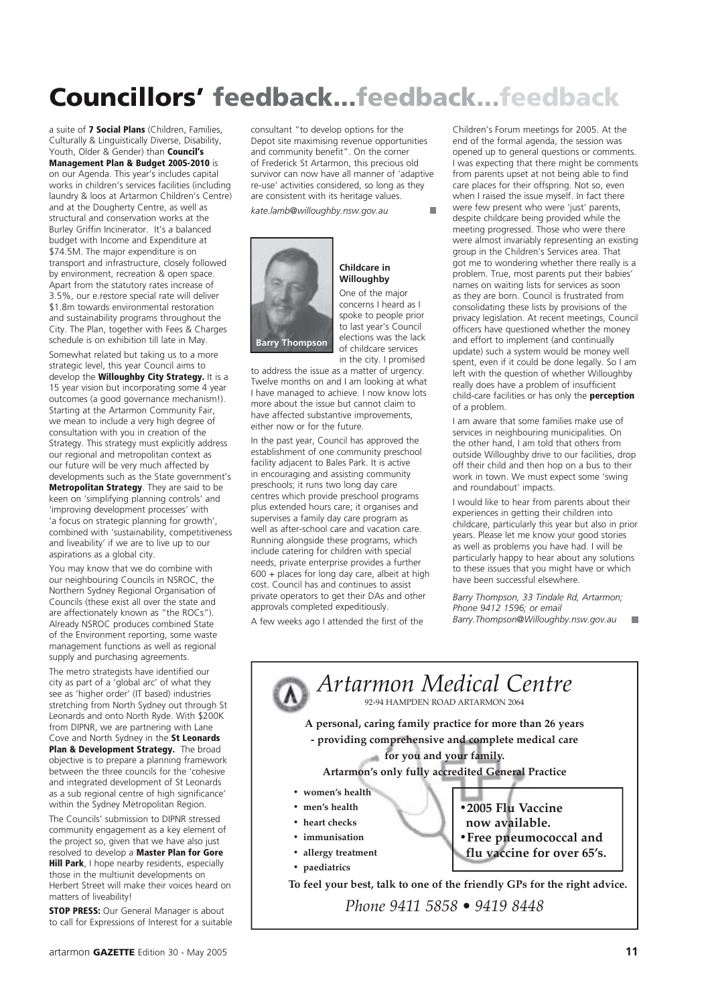# Councillors' feedback...feedback...feedback

a suite of 7 Social Plans (Children, Families, Culturally & Linguistically Diverse, Disability, Youth, Older & Gender) than **Council's** Management Plan & Budget 2005-2010 is on our Agenda. This year's includes capital works in children's services facilities (including laundry & loos at Artarmon Children's Centre) and at the Dougherty Centre, as well as structural and conservation works at the Burley Griffin Incinerator. It's a balanced budget with Income and Expenditure at \$74.5M. The major expenditure is on transport and infrastructure, closely followed by environment, recreation & open space. Apart from the statutory rates increase of 3.5%, our e.restore special rate will deliver \$1.8m towards environmental restoration and sustainability programs throughout the City. The Plan, together with Fees & Charges schedule is on exhibition till late in May.

Somewhat related but taking us to a more strategic level, this year Council aims to develop the **Willoughby City Strategy.** It is a 15 year vision but incorporating some 4 year outcomes (a good governance mechanism!). Starting at the Artarmon Community Fair, we mean to include a very high degree of consultation with you in creation of the Strategy. This strategy must explicitly address our regional and metropolitan context as our future will be very much affected by developments such as the State government's Metropolitan Strategy. They are said to be keen on 'simplifying planning controls' and 'improving development processes' with

'a focus on strategic planning for growth', combined with 'sustainability, competitiveness and liveability' if we are to live up to our aspirations as a global city.

You may know that we do combine with our neighbouring Councils in NSROC, the Northern Sydney Regional Organisation of Councils (these exist all over the state and are affectionately known as "the ROCs"). Already NSROC produces combined State of the Environment reporting, some waste management functions as well as regional supply and purchasing agreements.

The metro strategists have identified our city as part of a 'global arc' of what they see as 'higher order' (IT based) industries stretching from North Sydney out through St Leonards and onto North Ryde. With \$200K from DIPNR, we are partnering with Lane

Cove and North Sydney in the St Leonards Plan & Development Strategy. The broad objective is to prepare a planning framework between the three councils for the 'cohesive and integrated development of St Leonards as a sub regional centre of high significance' within the Sydney Metropolitan Region.

The Councils' submission to DIPNR stressed community engagement as a key element of the project so, given that we have also just resolved to develop a Master Plan for Gore Hill Park, I hope nearby residents, especially those in the multiunit developments on Herbert Street will make their voices heard on matters of liveability!

**STOP PRESS:** Our General Manager is about to call for Expressions of Interest for a suitable consultant "to develop options for the Depot site maximising revenue opportunities and community benefit". On the corner of Frederick St Artarmon, this precious old survivor can now have all manner of 'adaptive re-use' activities considered, so long as they are consistent with its heritage values.

*kate.lamb@willoughby.nsw.gov.au*



#### **Childcare in Willoughby**

One of the major concerns I heard as I spoke to people prior to last year's Council elections was the lack of childcare services in the city. I promised

to address the issue as a matter of urgency. Twelve months on and I am looking at what I have managed to achieve. I now know lots more about the issue but cannot claim to have affected substantive improvements, either now or for the future.

In the past year, Council has approved the establishment of one community preschool facility adjacent to Bales Park. It is active in encouraging and assisting community preschools; it runs two long day care centres which provide preschool programs plus extended hours care; it organises and supervises a family day care program as well as after-school care and vacation care. Running alongside these programs, which include catering for children with special needs, private enterprise provides a further 600 + places for long day care, albeit at high cost. Council has and continues to assist private operators to get their DAs and other approvals completed expeditiously.

A few weeks ago I attended the first of the

Children's Forum meetings for 2005. At the end of the formal agenda, the session was opened up to general questions or comments. I was expecting that there might be comments from parents upset at not being able to find care places for their offspring. Not so, even when I raised the issue myself. In fact there were few present who were 'just' parents, despite childcare being provided while the meeting progressed. Those who were there were almost invariably representing an existing group in the Children's Services area. That got me to wondering whether there really is a problem. True, most parents put their babies' names on waiting lists for services as soon as they are born. Council is frustrated from consolidating these lists by provisions of the privacy legislation. At recent meetings, Council officers have questioned whether the money and effort to implement (and continually update) such a system would be money well spent, even if it could be done legally. So I am left with the question of whether Willoughby really does have a problem of insufficient child-care facilities or has only the **perception** of a problem.

I am aware that some families make use of services in neighbouring municipalities. On the other hand, I am told that others from outside Willoughby drive to our facilities, drop off their child and then hop on a bus to their work in town. We must expect some 'swing and roundabout' impacts.

I would like to hear from parents about their experiences in getting their children into childcare, particularly this year but also in prior years. Please let me know your good stories as well as problems you have had. I will be particularly happy to hear about any solutions to these issues that you might have or which have been successful elsewhere.

*Barry Thompson, 33 Tindale Rd, Artarmon; Phone 9412 1596; or email Barry.Thompson@Willoughby.nsw.gov.au* ш

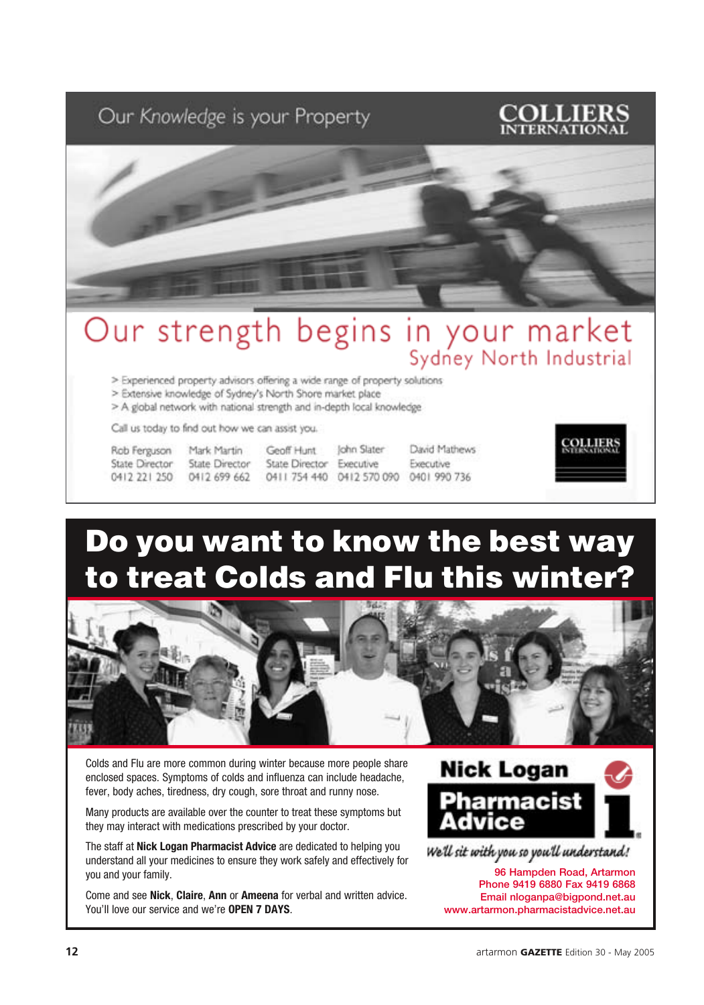### Our Knowledge is your Property





# Our strength begins in your market

> Experienced property advisors offering a wide range of property solutions

> Extensive knowledge of Sydney's North Shore market place

> A global network with national strength and in-depth local knowledge

Call us today to find out how we can assist you.

Rob Ferguson State Director 0412 221 250

Mark Martin State Director 0412 699 662

Geoff Hunt State Director Executive

David Mathews John Slater Executive 0411 754 440 0412 570 090 0401 990 736



# Do you want to know the best way to treat Colds and Flu this winter?



Colds and Flu are more common during winter because more people share enclosed spaces. Symptoms of colds and influenza can include headache, fever, body aches, tiredness, dry cough, sore throat and runny nose.

Many products are available over the counter to treat these symptoms but they may interact with medications prescribed by your doctor.

The staff at **Nick Logan Pharmacist Advice** are dedicated to helping you understand all your medicines to ensure they work safely and effectively for you and your family.

Come and see **Nick**, **Claire**, **Ann** or **Ameena** for verbal and written advice. You'll love our service and we're **OPEN 7 DAYS**.



96 Hampden Road, Artarmon Phone 9419 6880 Fax 9419 6868 Email nloganpa@bigpond.net.au www.artarmon.pharmacistadvice.net.au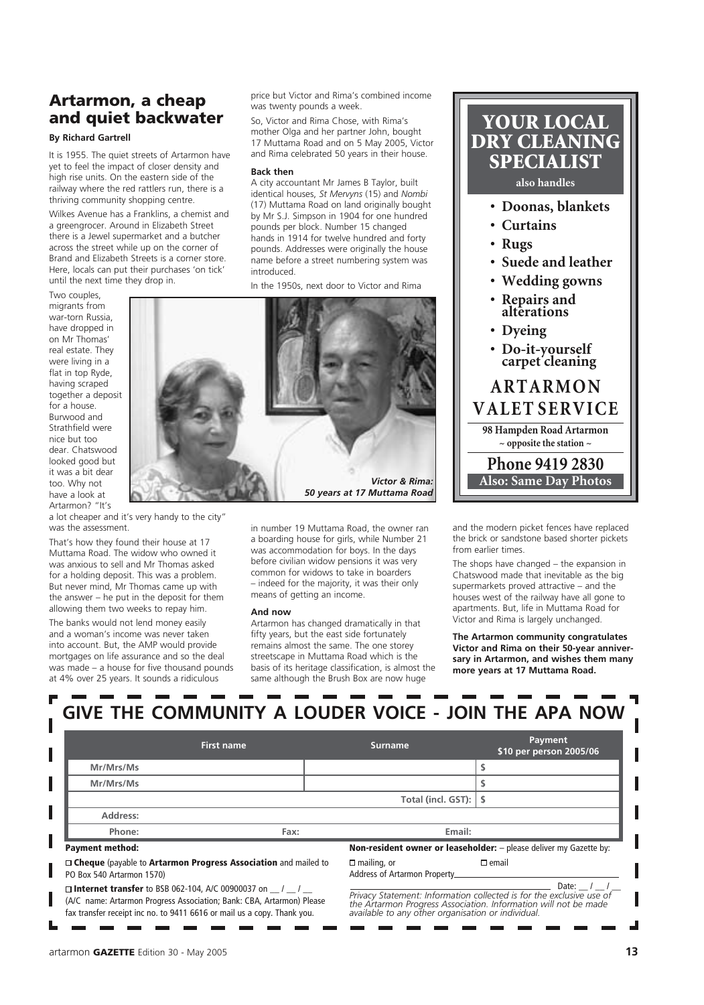### Artarmon, a cheap and quiet backwater

#### **By Richard Gartrell**

It is 1955. The quiet streets of Artarmon have yet to feel the impact of closer density and high rise units. On the eastern side of the railway where the red rattlers run, there is a thriving community shopping centre.

Wilkes Avenue has a Franklins, a chemist and a greengrocer. Around in Elizabeth Street there is a Jewel supermarket and a butcher across the street while up on the corner of Brand and Elizabeth Streets is a corner store. Here, locals can put their purchases 'on tick' until the next time they drop in.

Two couples, migrants from war-torn Russia, have dropped in on Mr Thomas' real estate. They were living in a flat in top Ryde, having scraped together a deposit for a house. Burwood and Strathfield were nice but too dear. Chatswood looked good but it was a bit dear too. Why not have a look at Artarmon? "It's

a lot cheaper and it's very handy to the city" was the assessment.

That's how they found their house at 17 Muttama Road. The widow who owned it was anxious to sell and Mr Thomas asked for a holding deposit. This was a problem. But never mind, Mr Thomas came up with the answer – he put in the deposit for them allowing them two weeks to repay him.

The banks would not lend money easily and a woman's income was never taken into account. But, the AMP would provide mortgages on life assurance and so the deal was made – a house for five thousand pounds at 4% over 25 years. It sounds a ridiculous

price but Victor and Rima's combined income was twenty pounds a week.

So, Victor and Rima Chose, with Rima's mother Olga and her partner John, bought 17 Muttama Road and on 5 May 2005, Victor and Rima celebrated 50 years in their house.

#### **Back then**

A city accountant Mr James B Taylor, built identical houses, *St Mervyns* (15) and *Nombi*  (17) Muttama Road on land originally bought by Mr S.J. Simpson in 1904 for one hundred pounds per block. Number 15 changed hands in 1914 for twelve hundred and forty pounds. Addresses were originally the house name before a street numbering system was introduced.

In the 1950s, next door to Victor and Rima



in number 19 Muttama Road, the owner ran a boarding house for girls, while Number 21 was accommodation for boys. In the days before civilian widow pensions it was very common for widows to take in boarders – indeed for the majority, it was their only means of getting an income.

#### **And now**

Artarmon has changed dramatically in that fifty years, but the east side fortunately remains almost the same. The one storey streetscape in Muttama Road which is the basis of its heritage classification, is almost the same although the Brush Box are now huge

YOUR LOCAL DRY CLEANING SPECIALIST

#### **also handles**

- **Doonas, blankets**
- **Curtains**
- **Rugs**
- **Suede and leather**
- **Wedding gowns**
- **Repairs and alterations**
- **Dyeing**
- **Do-it-yourself carpet cleaning**

### **A R T A R M O N V A L ET S E R V I C E 98 Hampden Road Artarmon ~ opposite the station ~**

**Phone 9419 2830 Also: Same Day Photos**

and the modern picket fences have replaced the brick or sandstone based shorter pickets from earlier times.

The shops have changed – the expansion in Chatswood made that inevitable as the big supermarkets proved attractive – and the houses west of the railway have all gone to apartments. But, life in Muttama Road for Victor and Rima is largely unchanged.

**The Artarmon community congratulates Victor and Rima on their 50-year anniversary in Artarmon, and wishes them many more years at 17 Muttama Road.**

|                                                                                                                                                                                                                     |                   |                                                                                                                                                                                                        |                                                     | GIVE THE COMMUNITY A LOUDER VOICE - JOIN THE APA NOW                      |
|---------------------------------------------------------------------------------------------------------------------------------------------------------------------------------------------------------------------|-------------------|--------------------------------------------------------------------------------------------------------------------------------------------------------------------------------------------------------|-----------------------------------------------------|---------------------------------------------------------------------------|
|                                                                                                                                                                                                                     | <b>First name</b> |                                                                                                                                                                                                        | <b>Surname</b>                                      | Payment<br>\$10 per person 2005/06                                        |
| Mr/Mrs/Ms                                                                                                                                                                                                           |                   |                                                                                                                                                                                                        |                                                     |                                                                           |
| Mr/Mrs/Ms                                                                                                                                                                                                           |                   |                                                                                                                                                                                                        |                                                     |                                                                           |
|                                                                                                                                                                                                                     |                   |                                                                                                                                                                                                        | Total (incl. GST):                                  |                                                                           |
| Address:                                                                                                                                                                                                            |                   |                                                                                                                                                                                                        |                                                     |                                                                           |
| Phone:                                                                                                                                                                                                              | Fax:              |                                                                                                                                                                                                        | Email:                                              |                                                                           |
| <b>Payment method:</b>                                                                                                                                                                                              |                   |                                                                                                                                                                                                        |                                                     | <b>Non-resident owner or leaseholder:</b> - please deliver my Gazette by: |
| $\Box$ Cheque (payable to Artarmon Progress Association and mailed to<br>PO Box 540 Artarmon 1570)                                                                                                                  |                   |                                                                                                                                                                                                        | $\Box$ mailing, or<br>Address of Artarmon Property. | $\square$ email                                                           |
| $\Box$ Internet transfer to BSB 062-104, A/C 00900037 on $\Box$<br>(A/C name: Artarmon Progress Association; Bank: CBA, Artarmon) Please<br>fax transfer receipt inc no. to 9411 6616 or mail us a copy. Thank you. |                   | Date:<br>Privacy Statement: Information collected is for the exclusive use of<br>the Artarmon Progress Association. Information will not be made<br>available to any other organisation or individual. |                                                     |                                                                           |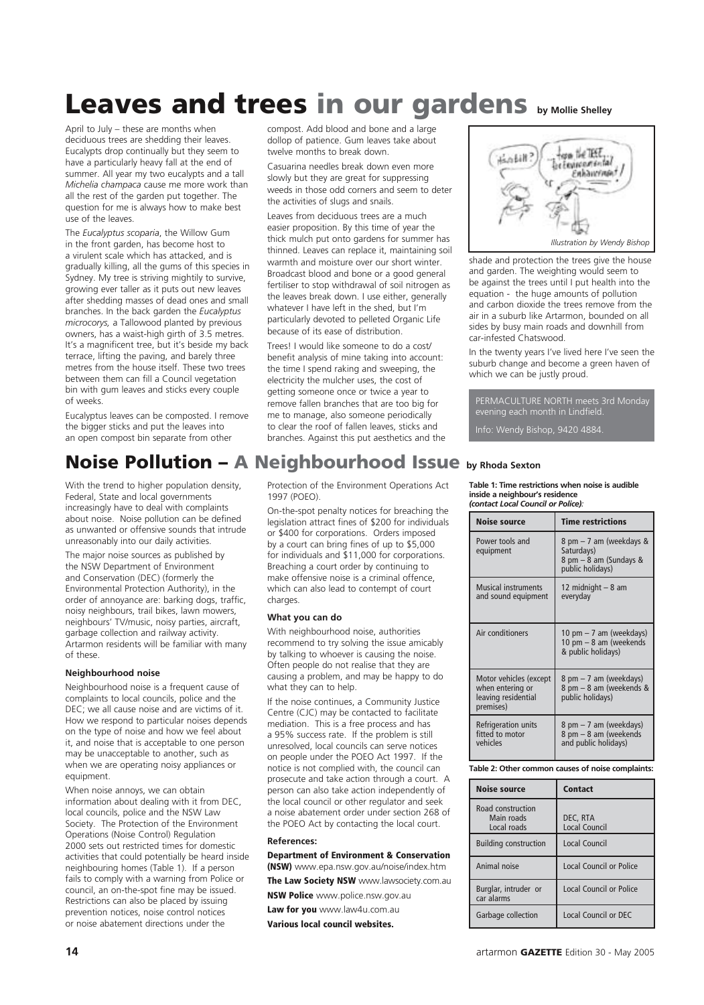# Leaves and trees in our gardens **by Mollie Shelley**

April to July – these are months when deciduous trees are shedding their leaves. Eucalypts drop continually but they seem to have a particularly heavy fall at the end of summer. All year my two eucalypts and a tall *Michelia champaca* cause me more work than all the rest of the garden put together. The question for me is always how to make best use of the leaves.

The *Eucalyptus scoparia*, the Willow Gum in the front garden, has become host to a virulent scale which has attacked, and is gradually killing, all the gums of this species in Sydney. My tree is striving mightily to survive, growing ever taller as it puts out new leaves after shedding masses of dead ones and small branches. In the back garden the *Eucalyptus microcorys,* a Tallowood planted by previous owners, has a waist-high girth of 3.5 metres. It's a magnificent tree, but it's beside my back terrace, lifting the paving, and barely three metres from the house itself. These two trees between them can fill a Council vegetation bin with gum leaves and sticks every couple of weeks.

Eucalyptus leaves can be composted. I remove the bigger sticks and put the leaves into an open compost bin separate from other

compost. Add blood and bone and a large dollop of patience. Gum leaves take about twelve months to break down.

Casuarina needles break down even more slowly but they are great for suppressing weeds in those odd corners and seem to deter the activities of slugs and snails.

Leaves from deciduous trees are a much easier proposition. By this time of year the thick mulch put onto gardens for summer has thinned. Leaves can replace it, maintaining soil warmth and moisture over our short winter. Broadcast blood and bone or a good general fertiliser to stop withdrawal of soil nitrogen as the leaves break down. I use either, generally whatever I have left in the shed, but I'm particularly devoted to pelleted Organic Life because of its ease of distribution.

Trees! I would like someone to do a cost/ benefit analysis of mine taking into account: the time I spend raking and sweeping, the electricity the mulcher uses, the cost of getting someone once or twice a year to remove fallen branches that are too big for me to manage, also someone periodically to clear the roof of fallen leaves, sticks and branches. Against this put aesthetics and the



shade and protection the trees give the house and garden. The weighting would seem to be against the trees until I put health into the equation - the huge amounts of pollution and carbon dioxide the trees remove from the air in a suburb like Artarmon, bounded on all sides by busy main roads and downhill from car-infested Chatswood.

In the twenty years I've lived here I've seen the suburb change and become a green haven of which we can be justly proud.

PERMACULTURE NORTH meets 3rd Monday evening each month in Lindfield.

Info: Wendy Bishop, 9420 4884.

### Noise Pollution – A Neighbourhood Issue **by Rhoda Sexton**

With the trend to higher population density, Federal, State and local governments increasingly have to deal with complaints about noise. Noise pollution can be defined as unwanted or offensive sounds that intrude unreasonably into our daily activities.

The major noise sources as published by the NSW Department of Environment and Conservation (DEC) (formerly the Environmental Protection Authority), in the order of annoyance are: barking dogs, traffic, noisy neighbours, trail bikes, lawn mowers, neighbours' TV/music, noisy parties, aircraft, garbage collection and railway activity. Artarmon residents will be familiar with many of these.

#### **Neighbourhood noise**

Neighbourhood noise is a frequent cause of complaints to local councils, police and the DEC; we all cause noise and are victims of it. How we respond to particular noises depends on the type of noise and how we feel about it, and noise that is acceptable to one person may be unacceptable to another, such as when we are operating noisy appliances or equipment.

When noise annoys, we can obtain information about dealing with it from DEC, local councils, police and the NSW Law Society. The Protection of the Environment Operations (Noise Control) Regulation 2000 sets out restricted times for domestic activities that could potentially be heard inside neighbouring homes (Table 1). If a person fails to comply with a warning from Police or council, an on-the-spot fine may be issued. Restrictions can also be placed by issuing prevention notices, noise control notices or noise abatement directions under the

Protection of the Environment Operations Act 1997 (POEO).

On-the-spot penalty notices for breaching the legislation attract fines of \$200 for individuals or \$400 for corporations. Orders imposed by a court can bring fines of up to \$5,000 for individuals and \$11,000 for corporations. Breaching a court order by continuing to make offensive noise is a criminal offence, which can also lead to contempt of court charges.

#### **What you can do**

With neighbourhood noise, authorities recommend to try solving the issue amicably by talking to whoever is causing the noise. Often people do not realise that they are causing a problem, and may be happy to do what they can to help.

If the noise continues, a Community Justice Centre (CJC) may be contacted to facilitate mediation. This is a free process and has a 95% success rate. If the problem is still unresolved, local councils can serve notices on people under the POEO Act 1997. If the notice is not complied with, the council can prosecute and take action through a court. A person can also take action independently of the local council or other regulator and seek a noise abatement order under section 268 of the POEO Act by contacting the local court.

#### **References:**

Department of Environment & Conservation (NSW) www.epa.nsw.gov.au/noise/index.htm The Law Society NSW www.lawsociety.com.au

**NSW Police** www.police.nsw.gov.au

Law for you www.law4u.com.au Various local council websites.

#### **Table 1: Time restrictions when noise is audible inside a neighbour's residence** *(contact Local Council or Police):*

| <b>Noise source</b>                                                            | <b>Time restrictions</b>                                                              |  |
|--------------------------------------------------------------------------------|---------------------------------------------------------------------------------------|--|
| Power tools and<br>equipment                                                   | 8 pm – 7 am (weekdays &<br>Saturdays)<br>8 pm $-$ 8 am (Sundays &<br>public holidays) |  |
| <b>Musical instruments</b><br>and sound equipment                              | 12 midnight - 8 am<br>everyday                                                        |  |
| Air conditioners                                                               | 10 pm – 7 am (weekdays)<br>10 pm - 8 am (weekends<br>& public holidays)               |  |
| Motor vehicles (except<br>when entering or<br>leaving residential<br>premises) | 8 pm - 7 am (weekdays)<br>8 pm - 8 am (weekends &<br>public holidays)                 |  |
| Refrigeration units<br>fitted to motor<br>vehicles                             | 8 pm – 7 am (weekdays)<br>8 pm - 8 am (weekends<br>and public holidays)               |  |

**Table 2: Other common causes of noise complaints:**

| <b>Noise source</b>                            | Contact                     |  |
|------------------------------------------------|-----------------------------|--|
| Road construction<br>Main roads<br>Local roads | DEC, RTA<br>Local Council   |  |
| <b>Building construction</b>                   | Local Council               |  |
| Animal noise                                   | Local Council or Police     |  |
| Burglar, intruder or<br>car alarms             | Local Council or Police     |  |
| Garbage collection                             | <b>Local Council or DEC</b> |  |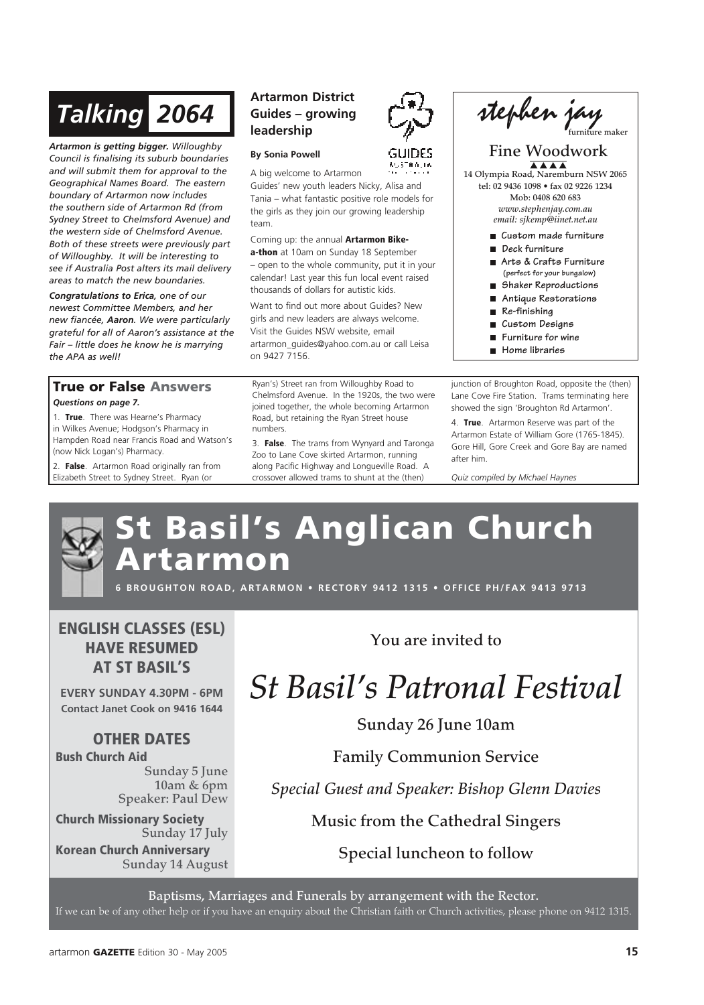# *Talking 2064*

*Artarmon is getting bigger. Willoughby Council is finalising its suburb boundaries and will submit them for approval to the Geographical Names Board. The eastern boundary of Artarmon now includes the southern side of Artarmon Rd (from Sydney Street to Chelmsford Avenue) and the western side of Chelmsford Avenue. Both of these streets were previously part of Willoughby. It will be interesting to see if Australia Post alters its mail delivery areas to match the new boundaries.*

*Congratulations to Erica, one of our newest Committee Members, and her new fiancée, Aaron. We were particularly grateful for all of Aaron's assistance at the Fair – little does he know he is marrying the APA as well!*

#### True or False Answers *Questions on page 7.*

1. True. There was Hearne's Pharmacy in Wilkes Avenue; Hodgson's Pharmacy in Hampden Road near Francis Road and Watson's (now Nick Logan's) Pharmacy.

2. False. Artarmon Road originally ran from Elizabeth Street to Sydney Street. Ryan (or

### **Artarmon District Guides – growing leadership**

#### **By Sonia Powell**

A big welcome to Artarmon Guides' new youth leaders Nicky, Alisa and Tania – what fantastic positive role models for the girls as they join our growing leadership team.

Coming up: the annual Artarmon Bike-

a-thon at 10am on Sunday 18 September – open to the whole community, put it in your calendar! Last year this fun local event raised thousands of dollars for autistic kids.

Want to find out more about Guides? New girls and new leaders are always welcome. Visit the Guides NSW website, email artarmon\_guides@yahoo.com.au or call Leisa on 9427 7156.

Ryan's) Street ran from Willoughby Road to Chelmsford Avenue. In the 1920s, the two were joined together, the whole becoming Artarmon Road, but retaining the Ryan Street house numbers.

3. False. The trams from Wynyard and Taronga Zoo to Lane Cove skirted Artarmon, running along Pacific Highway and Longueville Road. A crossover allowed trams to shunt at the (then)



### Fine Woodwork

14 Olympia Road, Naremburn NSW 2065 tel: 02 9436 1098 • fax 02 9226 1234 Mob: 0408 620 683 *www.stephenjay.com.au email: sjkemp@iinet.net.au*

- **Custom made furniture**
- **Deck furniture**
- **Arts & Crafts Furniture (perfect for your bungalow)**
- **Shaker Reproductions**
- **Antique Restorations**
- **Re-finishing**
- **Custom Designs**
- **Furniture for wine**
- **Home libraries**

junction of Broughton Road, opposite the (then) Lane Cove Fire Station. Trams terminating here showed the sign 'Broughton Rd Artarmon'.

4. True. Artarmon Reserve was part of the Artarmon Estate of William Gore (1765-1845). Gore Hill, Gore Creek and Gore Bay are named after him.

*Quiz compiled by Michael Haynes*

# St Basil's Anglican Church rtarmon

**6 BROUGHTON ROAD, ARTARMON • RECTORY 9412 1315 • OFFICE PH/FAX 9413 9713** 

ENGLISH CLASSES (ESL) HAVE RESUMED AT ST BASIL'S

**EVERY SUNDAY 4.30PM - 6PM Contact Janet Cook on 9416 1644**

### OTHER DATES

Bush Church Aid

Sunday 5 June 10am & 6pm Speaker: Paul Dew

Church Missionary Society Sunday 17 July

Korean Church Anniversary Sunday 14 August You are invited to

# *St Basil's Patronal Festival*

Sunday 26 June 10am

Family Communion Service

*Special Guest and Speaker: Bishop Glenn Davies*

Music from the Cathedral Singers

Special luncheon to follow

Baptisms, Marriages and Funerals by arrangement with the Rector.

If we can be of any other help or if you have an enquiry about the Christian faith or Church activities, please phone on 9412 1315.